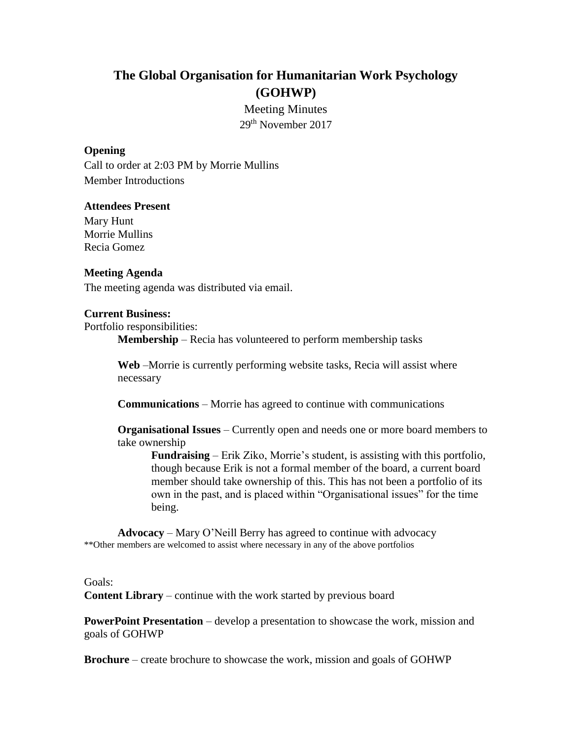# **The Global Organisation for Humanitarian Work Psychology (GOHWP)**

Meeting Minutes 29th November 2017

#### **Opening**

Call to order at 2:03 PM by Morrie Mullins Member Introductions

#### **Attendees Present**

Mary Hunt Morrie Mullins Recia Gomez

#### **Meeting Agenda**

The meeting agenda was distributed via email.

#### **Current Business:**

Portfolio responsibilities:

**Membership** – Recia has volunteered to perform membership tasks

**Web** –Morrie is currently performing website tasks, Recia will assist where necessary

**Communications** – Morrie has agreed to continue with communications

**Organisational Issues** – Currently open and needs one or more board members to take ownership

**Fundraising** – Erik Ziko, Morrie's student, is assisting with this portfolio, though because Erik is not a formal member of the board, a current board member should take ownership of this. This has not been a portfolio of its own in the past, and is placed within "Organisational issues" for the time being.

**Advocacy** – Mary O'Neill Berry has agreed to continue with advocacy \*\*Other members are welcomed to assist where necessary in any of the above portfolios

#### Goals:

**Content Library** – continue with the work started by previous board

**PowerPoint Presentation** – develop a presentation to showcase the work, mission and goals of GOHWP

**Brochure** – create brochure to showcase the work, mission and goals of GOHWP